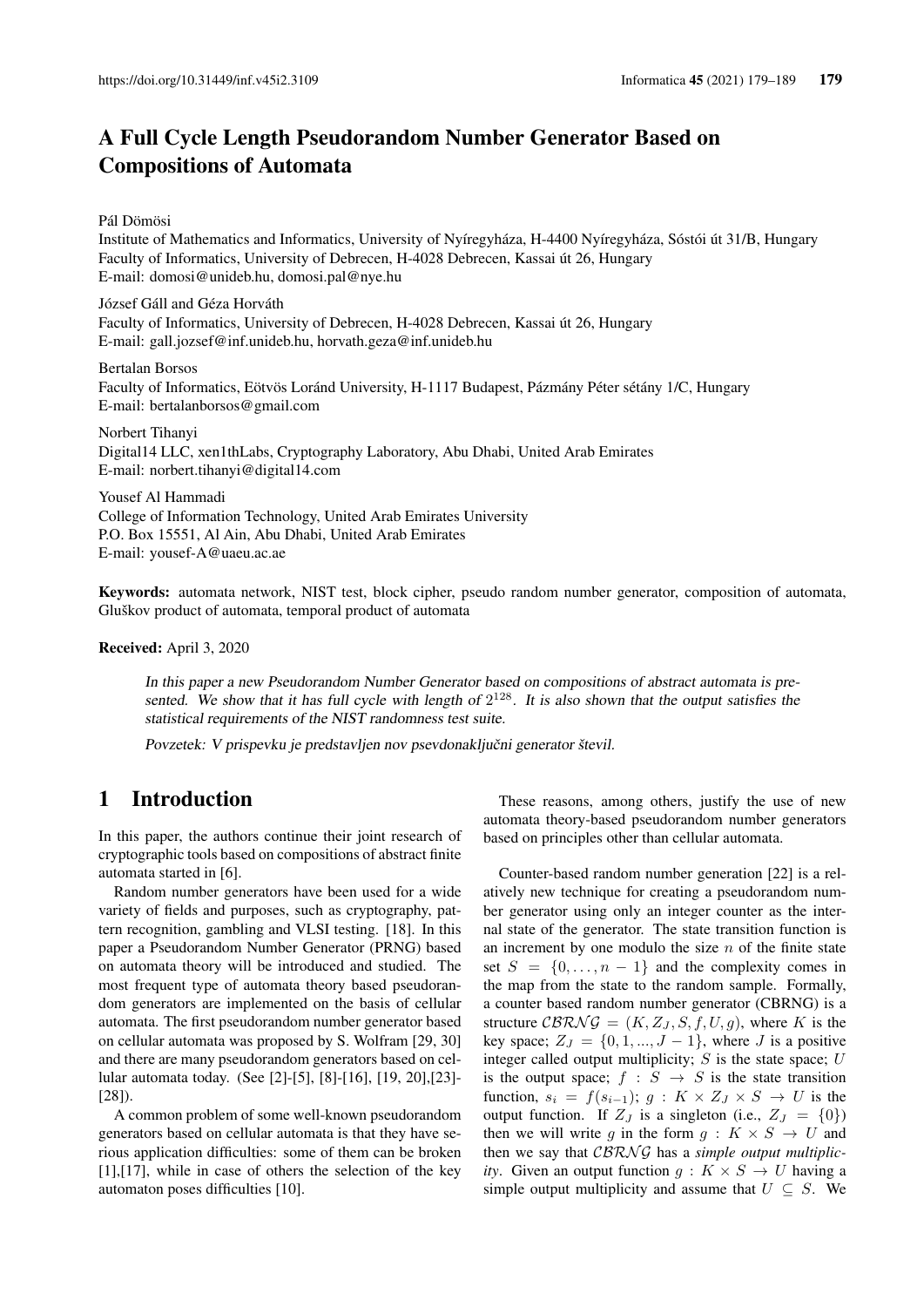# A Full Cycle Length Pseudorandom Number Generator Based on Compositions of Automata

Pál Dömösi

Institute of Mathematics and Informatics, University of Nyíregyháza, H-4400 Nyíregyháza, Sóstói út 31/B, Hungary Faculty of Informatics, University of Debrecen, H-4028 Debrecen, Kassai út 26, Hungary E-mail: domosi@unideb.hu, domosi.pal@nye.hu

József Gáll and Géza Horváth Faculty of Informatics, University of Debrecen, H-4028 Debrecen, Kassai út 26, Hungary E-mail: gall.jozsef@inf.unideb.hu, horvath.geza@inf.unideb.hu

Bertalan Borsos Faculty of Informatics, Eötvös Loránd University, H-1117 Budapest, Pázmány Péter sétány 1/C, Hungary E-mail: bertalanborsos@gmail.com

Norbert Tihanyi Digital14 LLC, xen1thLabs, Cryptography Laboratory, Abu Dhabi, United Arab Emirates E-mail: norbert.tihanyi@digital14.com

Yousef Al Hammadi College of Information Technology, United Arab Emirates University P.O. Box 15551, Al Ain, Abu Dhabi, United Arab Emirates E-mail: yousef-A@uaeu.ac.ae

Keywords: automata network, NIST test, block cipher, pseudo random number generator, composition of automata, Gluškov product of automata, temporal product of automata

Received: April 3, 2020

In this paper a new Pseudorandom Number Generator based on compositions of abstract automata is presented. We show that it has full cycle with length of  $2^{128}$ . It is also shown that the output satisfies the statistical requirements of the NIST randomness test suite.

Povzetek: V prispevku je predstavljen nov psevdonaključni generator števil.

# 1 Introduction

In this paper, the authors continue their joint research of cryptographic tools based on compositions of abstract finite automata started in [6].

Random number generators have been used for a wide variety of fields and purposes, such as cryptography, pattern recognition, gambling and VLSI testing. [18]. In this paper a Pseudorandom Number Generator (PRNG) based on automata theory will be introduced and studied. The most frequent type of automata theory based pseudorandom generators are implemented on the basis of cellular automata. The first pseudorandom number generator based on cellular automata was proposed by S. Wolfram [29, 30] and there are many pseudorandom generators based on cellular automata today. (See [2]-[5], [8]-[16], [19, 20],[23]- [28]).

A common problem of some well-known pseudorandom generators based on cellular automata is that they have serious application difficulties: some of them can be broken [1],[17], while in case of others the selection of the key automaton poses difficulties [10].

These reasons, among others, justify the use of new automata theory-based pseudorandom number generators based on principles other than cellular automata.

Counter-based random number generation [22] is a relatively new technique for creating a pseudorandom number generator using only an integer counter as the internal state of the generator. The state transition function is an increment by one modulo the size  $n$  of the finite state set  $S = \{0, \ldots, n-1\}$  and the complexity comes in the map from the state to the random sample. Formally, a counter based random number generator (CBRNG) is a structure  $CBRNG = (K, Z_J, S, f, U, g)$ , where K is the key space;  $Z_J = \{0, 1, ..., J - 1\}$ , where J is a positive integer called output multiplicity;  $S$  is the state space;  $U$ is the output space;  $f : S \rightarrow S$  is the state transition function,  $s_i = f(s_{i-1}); q : K \times Z_J \times S \to U$  is the output function. If  $Z_J$  is a singleton (i.e.,  $Z_J = \{0\}$ ) then we will write q in the form  $q : K \times S \to U$  and then we say that *CBRNG* has a *simple output multiplicity*. Given an output function  $q: K \times S \rightarrow U$  having a simple output multiplicity and assume that  $U \subseteq S$ . We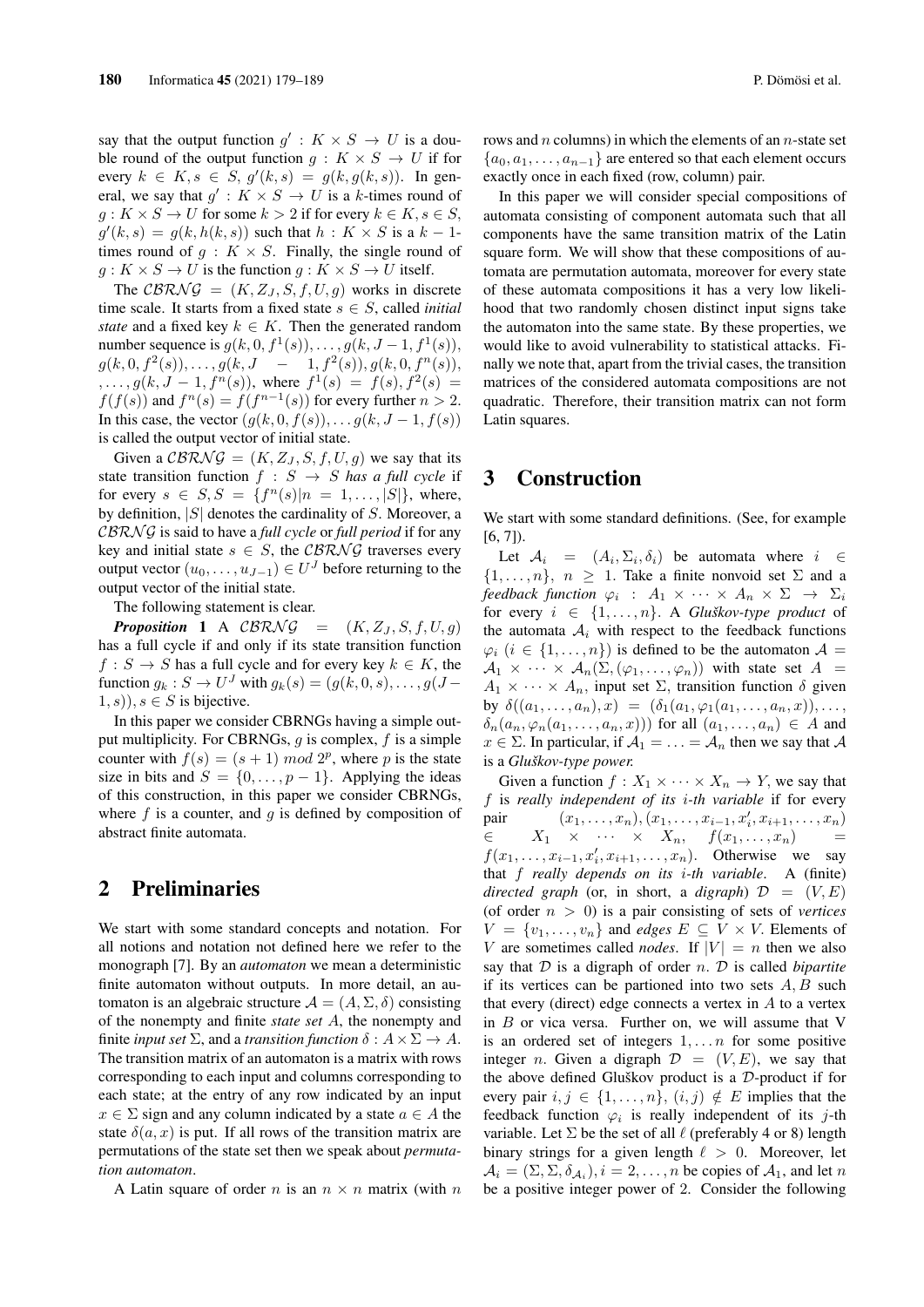say that the output function  $g' : K \times S \to U$  is a double round of the output function  $g: K \times S \to U$  if for every  $k \in K$ ,  $s \in S$ ,  $g'(k, s) = g(k, g(k, s))$ . In general, we say that  $g' : K \times S \to U$  is a k-times round of  $q: K \times S \to U$  for some  $k > 2$  if for every  $k \in K$ ,  $s \in S$ ,  $g'(k, s) = g(k, h(k, s))$  such that  $h: K \times S$  is a  $k-1$ times round of  $g: K \times S$ . Finally, the single round of  $g: K \times S \to U$  is the function  $g: K \times S \to U$  itself.

The CBRNG =  $(K, Z_J, S, f, U, g)$  works in discrete time scale. It starts from a fixed state  $s \in S$ , called *initial state* and a fixed key  $k \in K$ . Then the generated random number sequence is  $g(k, 0, f^1(s)), \ldots, g(k, J-1, f^1(s)),$  $g(k, 0, f<sup>2</sup>(s)), \ldots, g(k, J - 1, f<sup>2</sup>(s)), g(k, 0, f<sup>n</sup>(s)),$  $,..., g(k, J - 1, f<sup>n</sup>(s)),$  where  $f<sup>1</sup>(s) = f(s), f<sup>2</sup>(s) =$  $f(f(s))$  and  $f^{n}(s) = f(f^{n-1}(s))$  for every further  $n > 2$ . In this case, the vector  $(g(k, 0, f(s)), \ldots, g(k, J-1, f(s))$ is called the output vector of initial state.

Given a  $CBRNG = (K, Z_J, S, f, U, g)$  we say that its state transition function  $f : S \rightarrow S$  *has a full cycle* if for every  $s \in S, S = \{f^n(s) | n = 1, ..., |S|\}$ , where, by definition,  $|S|$  denotes the cardinality of S. Moreover, a CBRN G is said to have a *full cycle* or *full period* if for any key and initial state  $s \in S$ , the CBRNG traverses every output vector  $(u_0, \ldots, u_{J-1}) \in U^J$  before returning to the output vector of the initial state.

The following statement is clear.

**Proposition 1** A CBRNG =  $(K, Z_J, S, f, U, g)$ has a full cycle if and only if its state transition function  $f : S \to S$  has a full cycle and for every key  $k \in K$ , the function  $g_k: S \to U^J$  with  $g_k(s) = (g(k, 0, s), \dots, g(J (1, s)$ ,  $s \in S$  is bijective.

In this paper we consider CBRNGs having a simple output multiplicity. For CBRNGs,  $q$  is complex,  $f$  is a simple counter with  $f(s) = (s + 1) \mod 2^p$ , where p is the state size in bits and  $S = \{0, \ldots, p - 1\}$ . Applying the ideas of this construction, in this paper we consider CBRNGs, where  $f$  is a counter, and  $g$  is defined by composition of abstract finite automata.

### 2 Preliminaries

We start with some standard concepts and notation. For all notions and notation not defined here we refer to the monograph [7]. By an *automaton* we mean a deterministic finite automaton without outputs. In more detail, an automaton is an algebraic structure  $\mathcal{A} = (A, \Sigma, \delta)$  consisting of the nonempty and finite *state set* A, the nonempty and finite *input set*  $\Sigma$ , and a *transition function*  $\delta : A \times \Sigma \rightarrow A$ . The transition matrix of an automaton is a matrix with rows corresponding to each input and columns corresponding to each state; at the entry of any row indicated by an input  $x \in \Sigma$  sign and any column indicated by a state  $a \in A$  the state  $\delta(a, x)$  is put. If all rows of the transition matrix are permutations of the state set then we speak about *permutation automaton*.

A Latin square of order *n* is an  $n \times n$  matrix (with *n* 

rows and  $n$  columns) in which the elements of an  $n$ -state set  ${a_0, a_1, \ldots, a_{n-1}}$  are entered so that each element occurs exactly once in each fixed (row, column) pair.

In this paper we will consider special compositions of automata consisting of component automata such that all components have the same transition matrix of the Latin square form. We will show that these compositions of automata are permutation automata, moreover for every state of these automata compositions it has a very low likelihood that two randomly chosen distinct input signs take the automaton into the same state. By these properties, we would like to avoid vulnerability to statistical attacks. Finally we note that, apart from the trivial cases, the transition matrices of the considered automata compositions are not quadratic. Therefore, their transition matrix can not form Latin squares.

### 3 Construction

We start with some standard definitions. (See, for example [6, 7]).

Let  $A_i = (A_i, \Sigma_i, \delta_i)$  be automata where  $i \in$  $\{1, \ldots, n\}, n \geq 1$ . Take a finite nonvoid set  $\Sigma$  and a feedback function  $\varphi_i$  :  $A_1 \times \cdots \times A_n \times \Sigma$   $\;\rightarrow\; \Sigma_i$ for every  $i \in \{1, \ldots, n\}$ . A *Gluškov-type product* of the automata  $A_i$  with respect to the feedback functions  $\varphi_i$   $(i \in \{1, \ldots, n\})$  is defined to be the automaton  $\mathcal{A} =$  $\mathcal{A}_1 \times \cdots \times \mathcal{A}_n(\Sigma, (\varphi_1, \ldots, \varphi_n))$  with state set  $A =$  $A_1 \times \cdots \times A_n$ , input set  $\Sigma$ , transition function  $\delta$  given by  $\delta((a_1, \ldots, a_n), x) = (\delta_1(a_1, \varphi_1(a_1, \ldots, a_n, x)), \ldots,$  $\delta_n(a_n, \varphi_n(a_1, \ldots, a_n, x))$  for all  $(a_1, \ldots, a_n) \in A$  and  $x \in \Sigma$ . In particular, if  $\mathcal{A}_1 = \ldots = \mathcal{A}_n$  then we say that  $\mathcal A$ is a *Gluškov-type power.*

Given a function  $f: X_1 \times \cdots \times X_n \to Y$ , we say that f is *really independent of its* i*-th variable* if for every pair  $(x_1, \ldots, x_n), (x_1, \ldots, x_{i-1}, x_i', x_{i+1}, \ldots, x_n)$  $\in$   $X_1 \times \cdots \times X_n$ ,  $f(x_1, \ldots, x_n)$  $f(x_1, \ldots, x_{i-1}, x'_i, x_{i+1}, \ldots, x_n)$ . Otherwise we say that f *really depends on its* i*-th variable*. A (finite) *directed graph* (or, in short, a *digraph*)  $\mathcal{D} = (V, E)$ (of order n > 0) is a pair consisting of sets of *vertices*  $V = \{v_1, \ldots, v_n\}$  and *edges*  $E \subseteq V \times V$ . Elements of V are sometimes called *nodes*. If  $|V| = n$  then we also say that D is a digraph of order n. D is called *bipartite* if its vertices can be partioned into two sets  $A, B$  such that every (direct) edge connects a vertex in  $A$  to a vertex in  $B$  or vica versa. Further on, we will assume that V is an ordered set of integers  $1, \ldots n$  for some positive integer *n*. Given a digraph  $\mathcal{D} = (V, E)$ , we say that the above defined Gluškov product is a D-product if for every pair  $i, j \in \{1, \ldots, n\}, (i, j) \notin E$  implies that the feedback function  $\varphi_i$  is really independent of its j-th variable. Let  $\Sigma$  be the set of all  $\ell$  (preferably 4 or 8) length binary strings for a given length  $\ell > 0$ . Moreover, let  $A_i = (\Sigma, \Sigma, \delta_{A_i}), i = 2, \dots, n$  be copies of  $A_1$ , and let n be a positive integer power of 2. Consider the following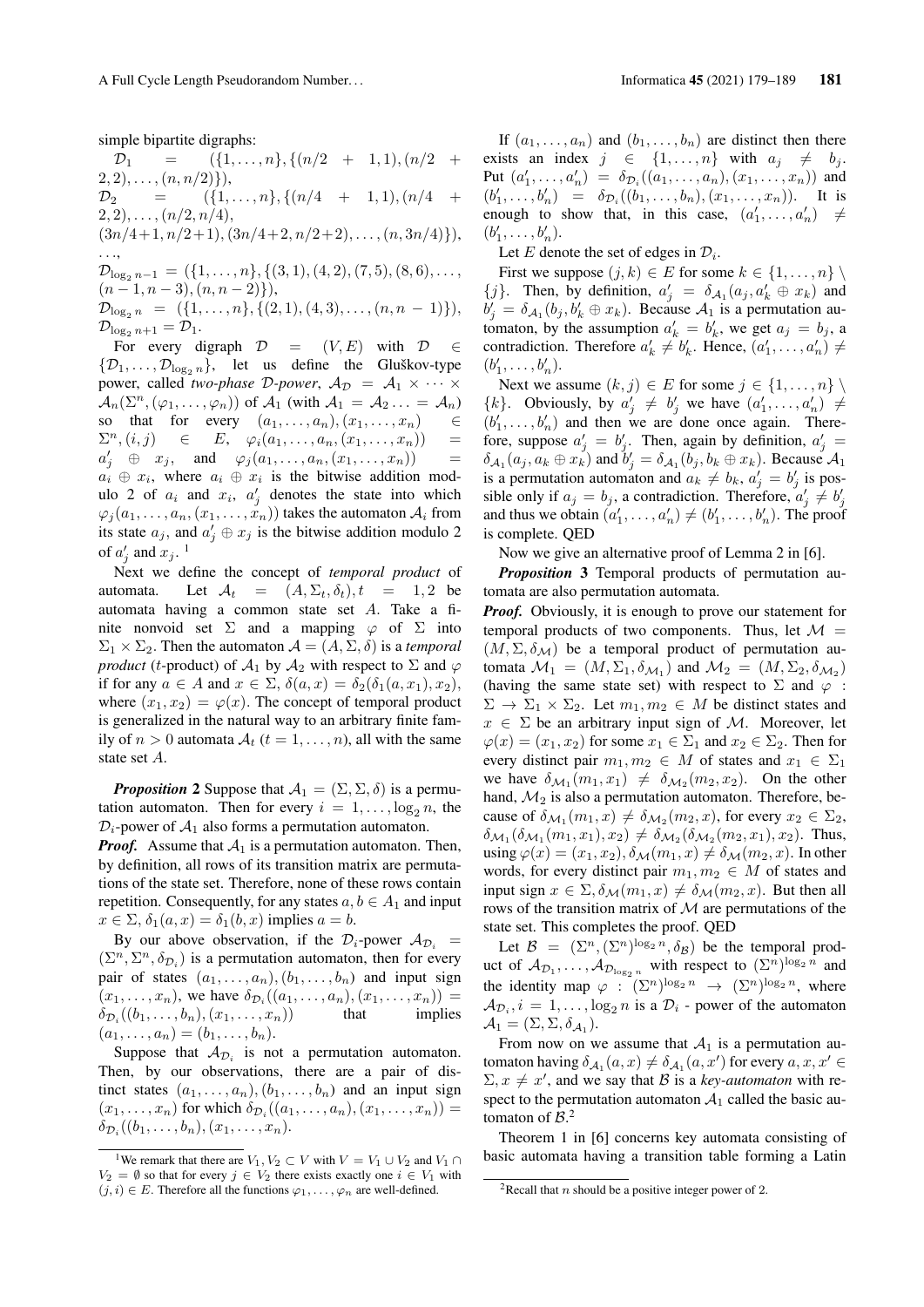simple bipartite digraphs:

 $\mathcal{D}_1$  =  $({1,\ldots,n}, {n \choose 2} + 1, 1), (n/2 +$  $(2, 2), \ldots, (n, n/2)\},$  $\mathcal{D}_2 = \left\{ \{1, \ldots, n\}, \{(n/4 + 1, 1), (n/4 + 1)\}\right\}$  $(2, 2), \ldots, (n/2, n/4),$  $(3n/4+1, n/2+1), (3n/4+2, n/2+2), \ldots, (n, 3n/4)\},$ 

. . .,  $\mathcal{D}_{\log_2 n-1} = (\{1,\ldots,n\}, \{(3,1),(4,2),(7,5),(8,6),\ldots,$  $(n-1, n-3), (n, n-2)$ ),  $\mathcal{D}_{\log_2 n} = (\{1, \ldots, n\}, \{(2, 1), (4, 3), \ldots, (n, n - 1)\}),$  $\mathcal{D}_{\log_2 n+1} = \mathcal{D}_1.$ 

For every digraph  $\mathcal{D} = (V, E)$  with  $\mathcal{D} \in$  $\{\mathcal{D}_1,\ldots,\mathcal{D}_{\log_2 n}\}\$ , let us define the Gluškov-type power, called *two-phase* D-power,  $A_{\mathcal{D}} = A_1 \times \cdots \times$  $\mathcal{A}_n(\Sigma^n, (\varphi_1, \ldots, \varphi_n))$  of  $\mathcal{A}_1$  (with  $\mathcal{A}_1 = \mathcal{A}_2 \ldots = \mathcal{A}_n$ ) so that for every  $(a_1, \ldots, a_n), (x_1, \ldots, x_n)$   $\in$  $\Sigma^n$ ,  $(i, j)$   $\in$   $E$ ,  $\varphi_i(a_1, \ldots, a_n, (x_1, \ldots, x_n))$  =  $a'_j \oplus x_j$ , and  $\varphi_j(a_1,\ldots,a_n,(x_1,\ldots,x_n))$  =  $a_i \oplus x_i$ , where  $a_i \oplus x_i$  is the bitwise addition modulo 2 of  $a_i$  and  $x_i$ ,  $a'_j$  denotes the state into which  $\varphi_j(a_1, \ldots, a_n, (x_1, \ldots, x_n))$  takes the automaton  $\mathcal{A}_i$  from its state  $a_j$ , and  $a'_j \oplus x_j$  is the bitwise addition modulo 2 of  $a'_j$  and  $x_j$ .<sup>1</sup>

Next we define the concept of *temporal product* of automata. Let  $A_t = (A, \Sigma_t, \delta_t), t = 1, 2$  be automata having a common state set A. Take a finite nonvoid set  $\Sigma$  and a mapping  $\varphi$  of  $\Sigma$  into  $\Sigma_1 \times \Sigma_2$ . Then the automaton  $\mathcal{A} = (A, \Sigma, \delta)$  is a *temporal product* (*t*-product) of  $\mathcal{A}_1$  by  $\mathcal{A}_2$  with respect to  $\Sigma$  and  $\varphi$ if for any  $a \in A$  and  $x \in \Sigma$ ,  $\delta(a, x) = \delta_2(\delta_1(a, x_1), x_2)$ , where  $(x_1, x_2) = \varphi(x)$ . The concept of temporal product is generalized in the natural way to an arbitrary finite family of  $n > 0$  automata  $A_t$   $(t = 1, \ldots, n)$ , all with the same state set A.

*Proposition* 2 Suppose that  $A_1 = (\Sigma, \Sigma, \delta)$  is a permutation automaton. Then for every  $i = 1, \ldots, \log_2 n$ , the  $\mathcal{D}_i$ -power of  $\mathcal{A}_1$  also forms a permutation automaton.

*Proof.* Assume that  $A_1$  is a permutation automaton. Then, by definition, all rows of its transition matrix are permutations of the state set. Therefore, none of these rows contain repetition. Consequently, for any states  $a, b \in A_1$  and input  $x \in \Sigma$ ,  $\delta_1(a, x) = \delta_1(b, x)$  implies  $a = b$ .

By our above observation, if the  $\mathcal{D}_i$ -power  $\mathcal{A}_{\mathcal{D}_i}$  =  $(\Sigma^n, \Sigma^n, \delta_{\mathcal{D}_i})$  is a permutation automaton, then for every pair of states  $(a_1, \ldots, a_n), (b_1, \ldots, b_n)$  and input sign  $(x_1, \ldots, x_n)$ , we have  $\delta_{\mathcal{D}_i}((a_1, \ldots, a_n), (x_1, \ldots, x_n)) =$  $\delta_{\mathcal{D}_i}((b_1,\ldots,b_n),(x_1,\ldots,x_n))$  that implies  $(a_1, \ldots, a_n) = (b_1, \ldots, b_n).$ 

Suppose that  $A_{\mathcal{D}_i}$  is not a permutation automaton. Then, by our observations, there are a pair of distinct states  $(a_1, \ldots, a_n), (b_1, \ldots, b_n)$  and an input sign  $(x_1, \ldots, x_n)$  for which  $\delta_{\mathcal{D}_i}((a_1, \ldots, a_n), (x_1, \ldots, x_n)) =$  $\delta_{\mathcal{D}_i}((b_1,\ldots,b_n),(x_1,\ldots,x_n).$ 

If  $(a_1, \ldots, a_n)$  and  $(b_1, \ldots, b_n)$  are distinct then there exists an index  $j \in \{1, \ldots, n\}$  with  $a_j \neq b_j$ . Put  $(a'_1, ..., a'_n) = \delta_{\mathcal{D}_i}((a_1, ..., a_n), (x_1, ..., x_n))$  and  $(b'_1, \ldots, b'_n) = \delta_{\mathcal{D}_i}((b_1, \ldots, b_n), (x_1, \ldots, x_n)).$  It is enough to show that, in this case,  $(a'_1, \ldots, a'_n) \neq$  $(b'_1, \ldots, b'_n).$ 

Let E denote the set of edges in  $\mathcal{D}_i$ .

First we suppose  $(j, k) \in E$  for some  $k \in \{1, \ldots, n\}$ {j}. Then, by definition,  $a'_j = \delta_{A_1}(a_j, a'_k \oplus x_k)$  and  $b'_j = \delta_{A_1}(b_j, b'_k \oplus x_k)$ . Because  $A_1$  is a permutation automaton, by the assumption  $a'_k = b'_k$ , we get  $a_j = b_j$ , a contradiction. Therefore  $a'_k \neq b'_k$ . Hence,  $(a'_1, \ldots, a'_n) \neq$  $(b'_1, \ldots, b'_n).$ 

Next we assume  $(k, j) \in E$  for some  $j \in \{1, \ldots, n\}$  $\{k\}$ . Obviously, by  $a'_j \neq b'_j$  we have  $(a'_1, \ldots, a'_n) \neq b'_j$  $(b'_1, \ldots, b'_n)$  and then we are done once again. Therefore, suppose  $a'_j = b'_j$ . Then, again by definition,  $a'_j =$  $\delta_{A_1}(a_j, a_k \oplus x_k)$  and  $b'_j = \delta_{A_1}(b_j, b_k \oplus x_k)$ . Because  $A_1$ is a permutation automaton and  $a_k \neq b_k$ ,  $a'_j = b'_j$  is possible only if  $a_j = b_j$ , a contradiction. Therefore,  $a'_j \neq b'_j$ and thus we obtain  $(a'_1, \ldots, a'_n) \neq (b'_1, \ldots, b'_n)$ . The proof is complete. QED

Now we give an alternative proof of Lemma 2 in [6].

*Proposition* 3 Temporal products of permutation automata are also permutation automata.

*Proof.* Obviously, it is enough to prove our statement for temporal products of two components. Thus, let  $\mathcal{M} =$  $(M, \Sigma, \delta_{\mathcal{M}})$  be a temporal product of permutation automata  $\mathcal{M}_1 = (M, \Sigma_1, \delta_{\mathcal{M}_1})$  and  $\mathcal{M}_2 = (M, \Sigma_2, \delta_{\mathcal{M}_2})$ (having the same state set) with respect to  $\Sigma$  and  $\varphi$ :  $\Sigma \to \Sigma_1 \times \Sigma_2$ . Let  $m_1, m_2 \in M$  be distinct states and  $x \in \Sigma$  be an arbitrary input sign of M. Moreover, let  $\varphi(x) = (x_1, x_2)$  for some  $x_1 \in \Sigma_1$  and  $x_2 \in \Sigma_2$ . Then for every distinct pair  $m_1, m_2 \in M$  of states and  $x_1 \in \Sigma_1$ we have  $\delta_{\mathcal{M}_1}(m_1, x_1) \neq \delta_{\mathcal{M}_2}(m_2, x_2)$ . On the other hand,  $M_2$  is also a permutation automaton. Therefore, because of  $\delta_{\mathcal{M}_1}(m_1, x) \neq \delta_{\mathcal{M}_2}(m_2, x)$ , for every  $x_2 \in \Sigma_2$ ,  $\delta_{\mathcal{M}_1}(\delta_{\mathcal{M}_1}(m_1, x_1), x_2) \neq \delta_{\mathcal{M}_2}(\delta_{\mathcal{M}_2}(m_2, x_1), x_2)$ . Thus, using  $\varphi(x) = (x_1, x_2), \delta_{\mathcal{M}}(m_1, x) \neq \delta_{\mathcal{M}}(m_2, x)$ . In other words, for every distinct pair  $m_1, m_2 \in M$  of states and input sign  $x \in \Sigma$ ,  $\delta_{\mathcal{M}}(m_1, x) \neq \delta_{\mathcal{M}}(m_2, x)$ . But then all rows of the transition matrix of  $M$  are permutations of the state set. This completes the proof. QED

Let  $\mathcal{B} = (\Sigma^n, (\Sigma^n)^{\log_2 n}, \delta_{\mathcal{B}})$  be the temporal product of  $\mathcal{A}_{\mathcal{D}_1}, \ldots, \mathcal{A}_{\mathcal{D}_{\log_2 n}}$  with respect to  $(\Sigma^n)^{\log_2 n}$  and the identity map  $\varphi : (\Sigma^n)^{\log_2 n} \to (\Sigma^n)^{\log_2 n}$ , where  $\mathcal{A}_{\mathcal{D}_i}, i = 1, \ldots, \log_2 n$  is a  $\mathcal{D}_i$  - power of the automaton  $\mathcal{A}_1 = (\Sigma, \Sigma, \delta_{\mathcal{A}_1}).$ 

From now on we assume that  $A_1$  is a permutation automaton having  $\delta_{A_1}(a, x) \neq \delta_{A_1}(a, x')$  for every  $a, x, x' \in$  $\Sigma, x \neq x'$ , and we say that B is a *key-automaton* with respect to the permutation automaton  $A_1$  called the basic automaton of  $B<sup>2</sup>$ 

Theorem 1 in [6] concerns key automata consisting of basic automata having a transition table forming a Latin

<sup>&</sup>lt;sup>1</sup>We remark that there are  $V_1, V_2 \subset V$  with  $V = V_1 \cup V_2$  and  $V_1 \cap V_2$  $V_2 = \emptyset$  so that for every  $j \in V_2$  there exists exactly one  $i \in V_1$  with  $(j, i) \in E$ . Therefore all the functions  $\varphi_1, \ldots, \varphi_n$  are well-defined.

<sup>&</sup>lt;sup>2</sup>Recall that *n* should be a positive integer power of 2.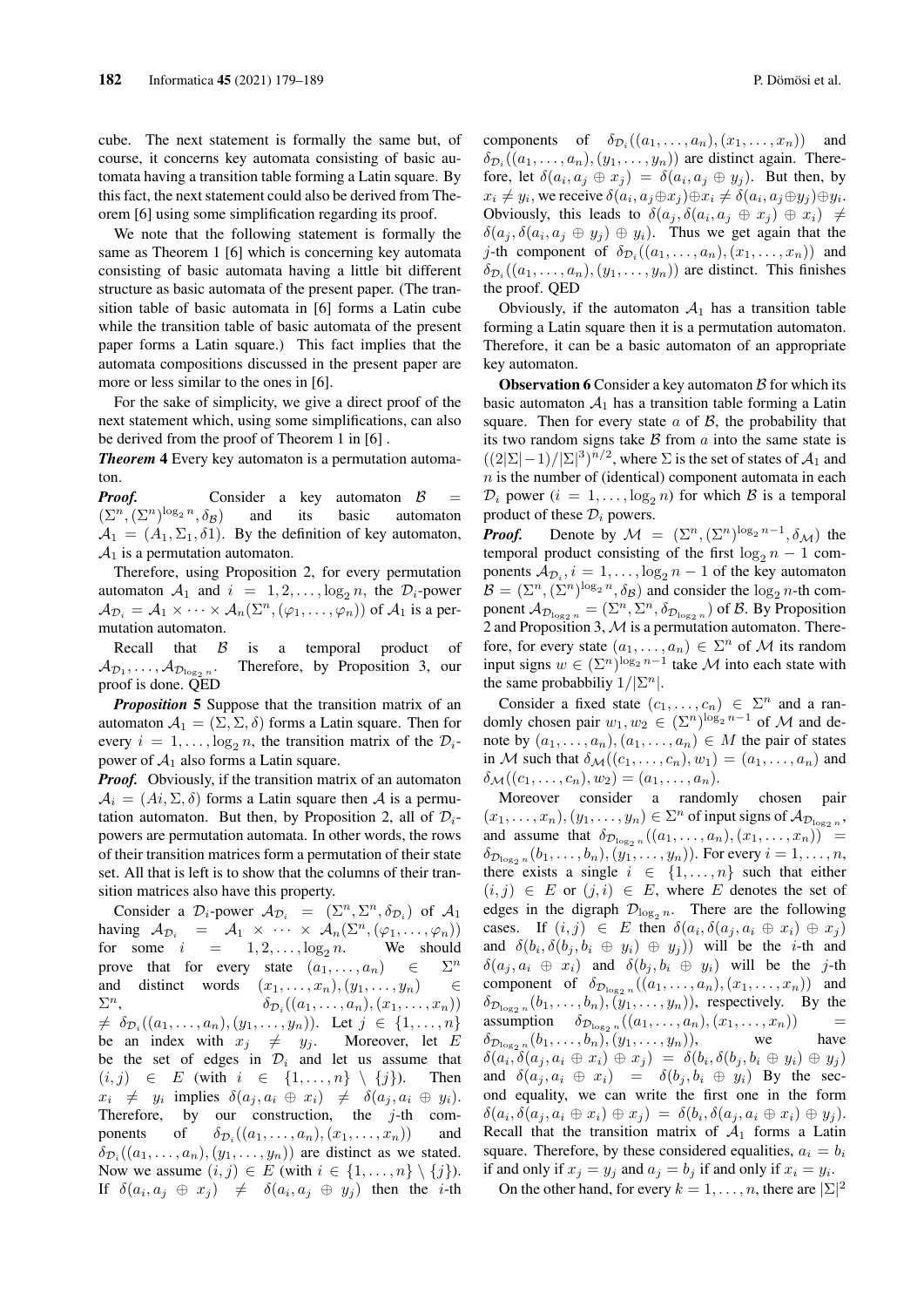cube. The next statement is formally the same but, of course, it concerns key automata consisting of basic automata having a transition table forming a Latin square. By this fact, the next statement could also be derived from Theorem [6] using some simplification regarding its proof.

We note that the following statement is formally the same as Theorem 1 [6] which is concerning key automata consisting of basic automata having a little bit different structure as basic automata of the present paper. (The transition table of basic automata in [6] forms a Latin cube while the transition table of basic automata of the present paper forms a Latin square.) This fact implies that the automata compositions discussed in the present paper are more or less similar to the ones in [6].

For the sake of simplicity, we give a direct proof of the next statement which, using some simplifications, can also be derived from the proof of Theorem 1 in [6] .

*Theorem* 4 Every key automaton is a permutation automaton.

*Proof.* Consider a key automaton  $\beta$  =  $(\Sigma^n, (\Sigma^n)^{\log_2 n}, \delta_{\mathcal{B}})$  and its basic automaton  $A_1 = (A_1, \Sigma_1, \delta_1)$ . By the definition of key automaton,  $A_1$  is a permutation automaton.

Therefore, using Proposition 2, for every permutation automaton  $A_1$  and  $i = 1, 2, \ldots, \log_2 n$ , the  $\mathcal{D}_i$ -power  $A_{\mathcal{D}_i} = A_1 \times \cdots \times A_n(\Sigma^n, (\varphi_1, \ldots, \varphi_n))$  of  $A_1$  is a permutation automaton.

Recall that  $\beta$  is a temporal product of  $\mathcal{A}_{\mathcal{D}_1},\ldots,\mathcal{A}_{\mathcal{D}_{\log_2n}}$ . Therefore, by Proposition 3, our proof is done. QED

*Proposition* 5 Suppose that the transition matrix of an automaton  $A_1 = (\Sigma, \Sigma, \delta)$  forms a Latin square. Then for every  $i = 1, \ldots, \log_2 n$ , the transition matrix of the  $\mathcal{D}_i$ power of  $A_1$  also forms a Latin square.

*Proof.* Obviously, if the transition matrix of an automaton  $A_i = (Ai, \Sigma, \delta)$  forms a Latin square then A is a permutation automaton. But then, by Proposition 2, all of  $\mathcal{D}_i$ powers are permutation automata. In other words, the rows of their transition matrices form a permutation of their state set. All that is left is to show that the columns of their transition matrices also have this property.

Consider a  $\mathcal{D}_i$ -power  $\mathcal{A}_{\mathcal{D}_i} = (\Sigma^n, \Sigma^n, \delta_{\mathcal{D}_i})$  of  $\mathcal{A}_1$ having  $\mathcal{A}_{\mathcal{D}_i} = \mathcal{A}_1 \times \cdots \times \mathcal{A}_n(\Sigma^n, (\varphi_1, \ldots, \varphi_n))$ for some  $i = 1, 2, \ldots, \log_2 n$ . We should prove that for every state  $(a_1, \ldots, a_n)$   $\in$  $\Sigma^n$ and distinct words  $(x_1, \ldots, x_n), (y_1, \ldots, y_n)$   $\in$  $\Sigma$ <sup>n</sup>,  $n,$   $\delta_{\mathcal{D}_i}((a_1, ..., a_n), (x_1, ..., x_n))$  $\neq \delta_{\mathcal{D}_i}((a_1, \ldots, a_n), (y_1, \ldots, y_n)).$  Let  $j \in \{1, \ldots, n\}$ be an index with  $x_j \neq y_j$ . Moreover, let E be the set of edges in  $\mathcal{D}_i$  and let us assume that  $(i, j) \in E$  (with  $i \in \{1, \ldots, n\} \setminus \{j\}$ ). Then  $x_i \neq y_i$  implies  $\delta(a_j, a_i \oplus x_i) \neq \delta(a_j, a_i \oplus y_i)$ . Therefore, by our construction, the  $j$ -th components of  $\delta_{\mathcal{D}_i}((a_1,\ldots,a_n),(x_1,\ldots,x_n))$  and  $\delta_{\mathcal{D}_i}((a_1,\ldots,a_n),(y_1,\ldots,y_n))$  are distinct as we stated. Now we assume  $(i, j) \in E$  (with  $i \in \{1, \ldots, n\} \setminus \{j\}$ ). If  $\delta(a_i, a_j \oplus x_j) \neq \delta(a_i, a_j \oplus y_j)$  then the *i*-th

components of  $\delta_{\mathcal{D}_i}((a_1,\ldots,a_n),(x_1,\ldots,x_n))$  and  $\delta_{\mathcal{D}_i}((a_1,\ldots,a_n),(y_1,\ldots,y_n))$  are distinct again. Therefore, let  $\delta(a_i, a_j \oplus x_j) = \delta(a_i, a_j \oplus y_j)$ . But then, by  $x_i \neq y_i$ , we receive  $\delta(a_i, a_j \oplus x_j) \oplus x_i \neq \delta(a_i, a_j \oplus y_j) \oplus y_i$ . Obviously, this leads to  $\delta(a_j, \delta(a_i, a_j \oplus x_j) \oplus x_i) \neq$  $\delta(a_j, \delta(a_i, a_j \oplus y_j) \oplus y_i)$ . Thus we get again that the *j*-th component of  $\delta_{\mathcal{D}_i}((a_1,\ldots,a_n),(x_1,\ldots,x_n))$  and  $\delta_{\mathcal{D}_i}((a_1,\ldots,a_n),(y_1,\ldots,y_n))$  are distinct. This finishes the proof. QED

Obviously, if the automaton  $A_1$  has a transition table forming a Latin square then it is a permutation automaton. Therefore, it can be a basic automaton of an appropriate key automaton.

**Observation 6** Consider a key automaton  $\beta$  for which its basic automaton  $A_1$  has a transition table forming a Latin square. Then for every state  $\alpha$  of  $\beta$ , the probability that its two random signs take  $\beta$  from  $\alpha$  into the same state is  $((2|\Sigma|-1)/|\Sigma|^3)^{n/2}$ , where  $\Sigma$  is the set of states of  $\mathcal{A}_1$  and  $n$  is the number of (identical) component automata in each  $\mathcal{D}_i$  power  $(i = 1, \ldots, \log_2 n)$  for which  $\mathcal B$  is a temporal product of these  $\mathcal{D}_i$  powers.

*Proof.* Denote by  $\mathcal{M} = (\Sigma^n, (\Sigma^n)^{\log_2 n-1}, \delta_{\mathcal{M}})$  the temporal product consisting of the first  $\log_2 n - 1$  components  $A_{\mathcal{D}_i}$ ,  $i = 1, \ldots, \log_2 n - 1$  of the key automaton  $B = (\Sigma^n, (\Sigma^n)^{\log_2 n}, \delta_B)$  and consider the  $\log_2 n$ -th component  $\mathcal{A}_{\mathcal{D}_{\log_2 n}} = (\Sigma^n, \Sigma^n, \delta_{\mathcal{D}_{\log_2 n}})$  of  $\mathcal{B}$ . By Proposition 2 and Proposition 3,  $M$  is a permutation automaton. Therefore, for every state  $(a_1, \ldots, a_n) \in \Sigma^n$  of M its random input signs  $w \in (\Sigma^n)^{\log_2 n - 1}$  take M into each state with the same probabbiliy  $1/|\Sigma^n|$ .

Consider a fixed state  $(c_1, \ldots, c_n) \in \Sigma^n$  and a randomly chosen pair  $w_1, w_2 \in (\Sigma^n)^{\log_2 n - 1}$  of M and denote by  $(a_1, \ldots, a_n), (a_1, \ldots, a_n) \in M$  the pair of states in M such that  $\delta_{\mathcal{M}}((c_1, \ldots, c_n), w_1) = (a_1, \ldots, a_n)$  and  $\delta_{\mathcal{M}}((c_1, \ldots, c_n), w_2) = (a_1, \ldots, a_n).$ 

Moreover consider a randomly chosen pair  $(x_1, \ldots, x_n), (y_1, \ldots, y_n) \in \Sigma^n$  of input signs of  $\mathcal{A}_{\mathcal{D}_{\log_2 n}}$ , and assume that  $\delta_{\mathcal{D}_{\log_2 n}}((a_1, \ldots, a_n), (x_1, \ldots, x_n)) =$  $\delta_{\mathcal{D}_{\log_2 n}}(b_1,\ldots,b_n), (y_1,\ldots,y_n)$ ). For every  $i=1,\ldots,n$ , there exists a single  $i \in \{1, \ldots, n\}$  such that either  $(i, j) \in E$  or  $(j, i) \in E$ , where E denotes the set of edges in the digraph  $\mathcal{D}_{\log_2 n}$ . There are the following cases. If  $(i, j) \in E$  then  $\delta(a_i, \delta(a_j, a_i \oplus x_i) \oplus x_j)$ and  $\delta(b_i, \delta(b_j, b_i \oplus y_i) \oplus y_j)$  will be the *i*-th and  $\delta(a_i, a_i \oplus x_i)$  and  $\delta(b_i, b_i \oplus y_i)$  will be the j-th component of  $\delta_{\mathcal{D}_{\log_2 n}}((a_1,\ldots,a_n),(x_1,\ldots,x_n))$  and  $\delta_{\mathcal{D}_{\log_2 n}}(b_1,\ldots,b_n), (y_1,\ldots,y_n)),$  respectively. By the assumption  $\delta_{\mathcal{D}_{\log_2 n}}((a_1, \ldots, a_n), (x_1, \ldots, x_n))$  =  $\delta_{\mathcal{D}_{\log_2 n}}(b_1,\ldots,b_n), (y_1,\ldots,y_n)),$  we have  $\delta(a_i, \delta(a_j, a_i \oplus x_i) \oplus x_j) = \delta(b_i, \delta(b_j, b_i \oplus y_i) \oplus y_j)$ and  $\delta(a_j, a_i \oplus x_i) = \delta(b_j, b_i \oplus y_i)$  By the second equality, we can write the first one in the form  $\delta(a_i, \delta(a_j, a_i \oplus x_i) \oplus x_j) = \delta(b_i, \delta(a_j, a_i \oplus x_i) \oplus y_j).$ Recall that the transition matrix of  $A_1$  forms a Latin square. Therefore, by these considered equalities,  $a_i = b_i$ if and only if  $x_j = y_j$  and  $a_j = b_j$  if and only if  $x_i = y_i$ .

On the other hand, for every  $k = 1, \ldots, n$ , there are  $|\Sigma|^2$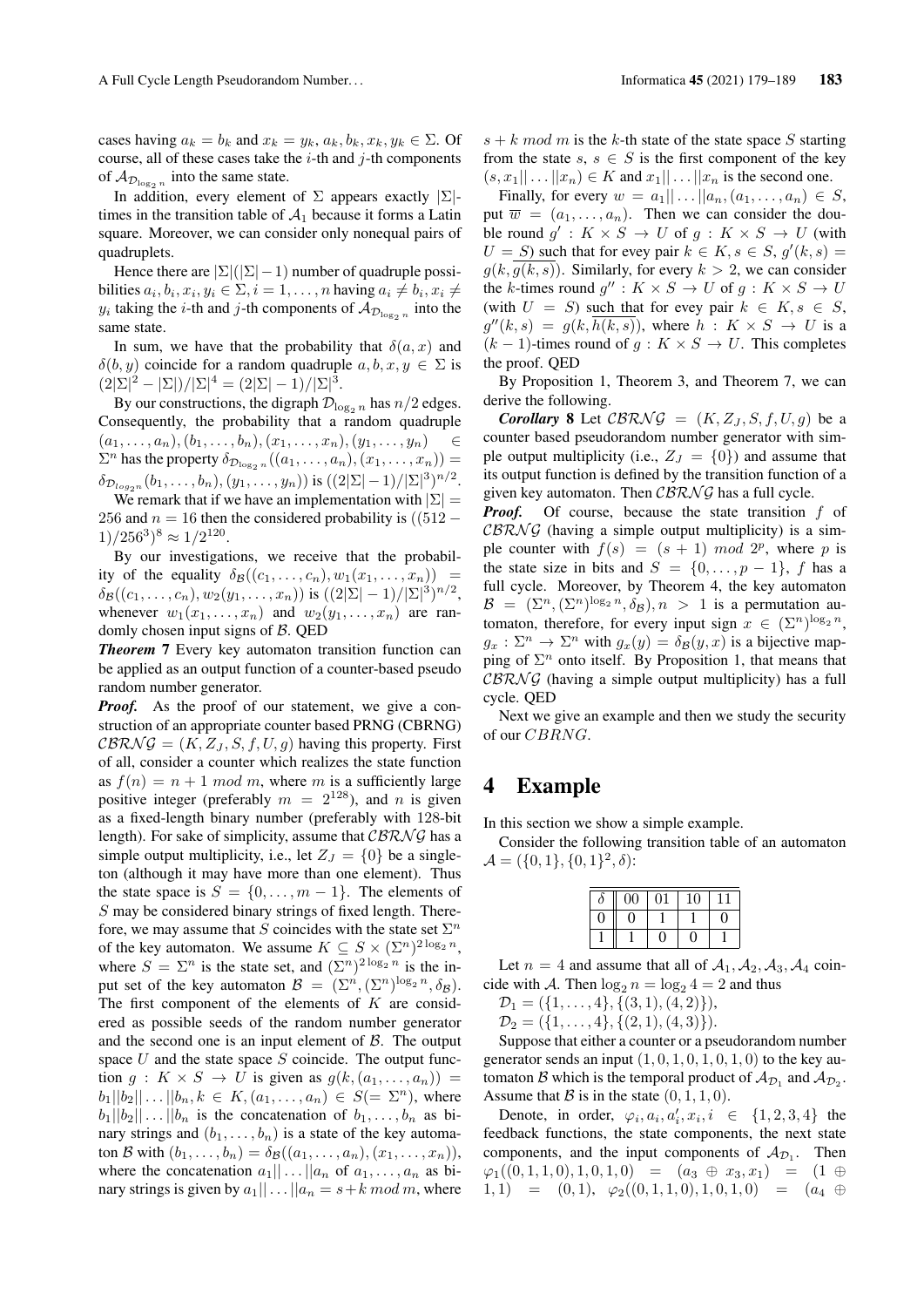cases having  $a_k = b_k$  and  $x_k = y_k$ ,  $a_k$ ,  $b_k$ ,  $x_k$ ,  $y_k \in \Sigma$ . Of course, all of these cases take the  $i$ -th and  $j$ -th components of  $\mathcal{A}_{\mathcal{D}_{\log_2 n}}$  into the same state.

In addition, every element of  $\Sigma$  appears exactly  $|\Sigma|$ times in the transition table of  $A_1$  because it forms a Latin square. Moreover, we can consider only nonequal pairs of quadruplets.

Hence there are  $|\Sigma|(|\Sigma|-1)$  number of quadruple possibilities  $a_i, b_i, x_i, y_i \in \Sigma, i = 1, \ldots, n$  having  $a_i \neq b_i, x_i \neq$  $y_i$  taking the *i*-th and *j*-th components of  $\mathcal{A}_{\mathcal{D}_{\log_2 n}}$  into the same state.

In sum, we have that the probability that  $\delta(a, x)$  and  $\delta(b, y)$  coincide for a random quadruple  $a, b, x, y \in \Sigma$  is  $(2|\Sigma|^2 - |\Sigma|)/|\Sigma|^4 = (2|\Sigma| - 1)/|\Sigma|^3.$ 

By our constructions, the digraph  $\mathcal{D}_{\log_2 n}$  has  $n/2$  edges. Consequently, the probability that a random quadruple  $(a_1, \ldots, a_n), (b_1, \ldots, b_n), (x_1, \ldots, x_n), (y_1, \ldots, y_n)$  $\Sigma^n$  has the property  $\delta_{\mathcal{D}_{\log_2 n}}((a_1,\ldots,a_n),(x_1,\ldots,x_n))=$  $\delta_{\mathcal{D}_{log_2n}}(b_1,\ldots,b_n), (y_1,\ldots,y_n))$  is  $((2|\Sigma|-1)/|\Sigma|^3)^{n/2}$ .

We remark that if we have an implementation with  $|\Sigma|$  = 256 and  $n = 16$  then the considered probability is ((512 –  $1)/256^3$ <sup>8</sup>  $\approx 1/2^{120}$ .

By our investigations, we receive that the probability of the equality  $\delta_{\mathcal{B}}((c_1, \ldots, c_n), w_1(x_1, \ldots, x_n)) =$  $\delta_{\mathcal{B}}((c_1,\ldots,c_n),w_2(y_1,\ldots,x_n))$  is  $((2|\Sigma|-1)/|\Sigma|^3)^{n/2}$ , whenever  $w_1(x_1, \ldots, x_n)$  and  $w_2(y_1, \ldots, x_n)$  are randomly chosen input signs of  $\beta$ . QED

*Theorem* 7 Every key automaton transition function can be applied as an output function of a counter-based pseudo random number generator.

*Proof.* As the proof of our statement, we give a construction of an appropriate counter based PRNG (CBRNG)  $CBRNG = (K, Z_J, S, f, U, g)$  having this property. First of all, consider a counter which realizes the state function as  $f(n) = n + 1 \mod m$ , where m is a sufficiently large positive integer (preferably  $m = 2^{128}$ ), and n is given as a fixed-length binary number (preferably with 128-bit length). For sake of simplicity, assume that  $CBRNG$  has a simple output multiplicity, i.e., let  $Z_J = \{0\}$  be a singleton (although it may have more than one element). Thus the state space is  $S = \{0, \ldots, m-1\}$ . The elements of S may be considered binary strings of fixed length. Therefore, we may assume that S coincides with the state set  $\Sigma^n$ of the key automaton. We assume  $K \subseteq S \times (\Sigma^n)^{2\log_2 n}$ , where  $S = \sum^n$  is the state set, and  $(\sum^n)^{2 \log_2 n}$  is the input set of the key automaton  $\mathcal{B} = (\Sigma^n, (\Sigma^n)^{\log_2 n}, \delta_{\mathcal{B}})$ . The first component of the elements of  $K$  are considered as possible seeds of the random number generator and the second one is an input element of  $\beta$ . The output space  $U$  and the state space  $S$  coincide. The output function  $q: K \times S \rightarrow U$  is given as  $g(k,(a_1,\ldots,a_n)) =$  $b_1||b_2|| \dots ||b_n, k \in K, (a_1, \dots, a_n) \in S(=\Sigma^n)$ , where  $b_1||b_2|| \dots ||b_n$  is the concatenation of  $b_1, \dots, b_n$  as binary strings and  $(b_1, \ldots, b_n)$  is a state of the key automaton B with  $(b_1, \ldots, b_n) = \delta_{\mathcal{B}}((a_1, \ldots, a_n), (x_1, \ldots, x_n)),$ where the concatenation  $a_1|| \dots ||a_n$  of  $a_1, \dots, a_n$  as binary strings is given by  $a_1|| \dots ||a_n = s+k \mod m$ , where  $s + k \mod m$  is the k-th state of the state space S starting from the state  $s, s \in S$  is the first component of the key  $(s, x_1|| \dots ||x_n) \in K$  and  $x_1|| \dots ||x_n$  is the second one.

Finally, for every  $w = a_1 || \dots || a_n, (a_1, \dots, a_n) \in S$ , put  $\overline{w} = (a_1, \ldots, a_n)$ . Then we can consider the double round  $g' : K \times S \to U$  of  $g : K \times S \to U$  (with  $U = S$ ) such that for evey pair  $k \in K$ ,  $s \in S$ ,  $g'(k, s) =$  $q(k, \overline{q(k, s)})$ . Similarly, for every  $k > 2$ , we can consider the k-times round  $g''$ :  $K \times S \to U$  of  $g : K \times S \to U$ (with  $U = S$ ) such that for evey pair  $k \in K$ ,  $s \in S$ ,  $g''(k,s) = g(k, \overline{h(k,s)})$ , where  $h : K \times S \rightarrow U$  is a  $(k-1)$ -times round of  $q: K \times S \rightarrow U$ . This completes the proof. QED

By Proposition 1, Theorem 3, and Theorem 7, we can derive the following.

*Corollary* 8 Let  $CBRNG = (K, Z_J, S, f, U, q)$  be a counter based pseudorandom number generator with simple output multiplicity (i.e.,  $Z_J = \{0\}$ ) and assume that its output function is defined by the transition function of a given key automaton. Then  $CBRNG$  has a full cycle.

*Proof.* Of course, because the state transition f of  $CBRNG$  (having a simple output multiplicity) is a simple counter with  $f(s) = (s + 1) \mod 2^p$ , where p is the state size in bits and  $S = \{0, \ldots, p-1\}$ , f has a full cycle. Moreover, by Theorem 4, the key automaton  $\mathcal{B} = (\Sigma^n, (\Sigma^n)^{\log_2 n}, \delta_{\mathcal{B}}), n > 1$  is a permutation automaton, therefore, for every input sign  $x \in (\Sigma^n)^{\log_2 n}$ ,  $g_x : \Sigma^n \to \Sigma^n$  with  $g_x(y) = \delta_{\mathcal{B}}(y, x)$  is a bijective mapping of  $\Sigma<sup>n</sup>$  onto itself. By Proposition 1, that means that  $CBRNG$  (having a simple output multiplicity) has a full cycle. QED

Next we give an example and then we study the security of our CBRNG.

### 4 Example

In this section we show a simple example.

Consider the following transition table of an automaton  $\mathcal{A} = (\{0, 1\}, \{0, 1\}^2, \delta)$ :

| $\theta$ | $00\,$ | 01 | 10 |   |
|----------|--------|----|----|---|
| J        | 0      |    |    | 0 |
|          |        | 0  |    |   |

Let  $n = 4$  and assume that all of  $A_1, A_2, A_3, A_4$  coincide with A. Then  $\log_2 n = \log_2 4 = 2$  and thus

$$
\mathcal{D}_1 = (\{1, \ldots, 4\}, \{(3, 1), (4, 2)\}),
$$

 $\mathcal{D}_2 = (\{1,\ldots,4\},\{(2,1),(4,3)\}).$ 

Suppose that either a counter or a pseudorandom number generator sends an input  $(1, 0, 1, 0, 1, 0, 1, 0)$  to the key automaton B which is the temporal product of  $\mathcal{A}_{\mathcal{D}_1}$  and  $\mathcal{A}_{\mathcal{D}_2}$ . Assume that  $\beta$  is in the state  $(0, 1, 1, 0)$ .

Denote, in order,  $\varphi_i, a_i, a'_i, x_i, i \in \{1, 2, 3, 4\}$  the feedback functions, the state components, the next state components, and the input components of  $A_{\mathcal{D}_1}$ . Then  $\varphi_1((0, 1, 1, 0), 1, 0, 1, 0) = (a_3 \oplus x_3, x_1) = (1 \oplus$ 1, 1) =  $(0, 1), \varphi_2((0, 1, 1, 0), 1, 0, 1, 0) = (a_4 \oplus$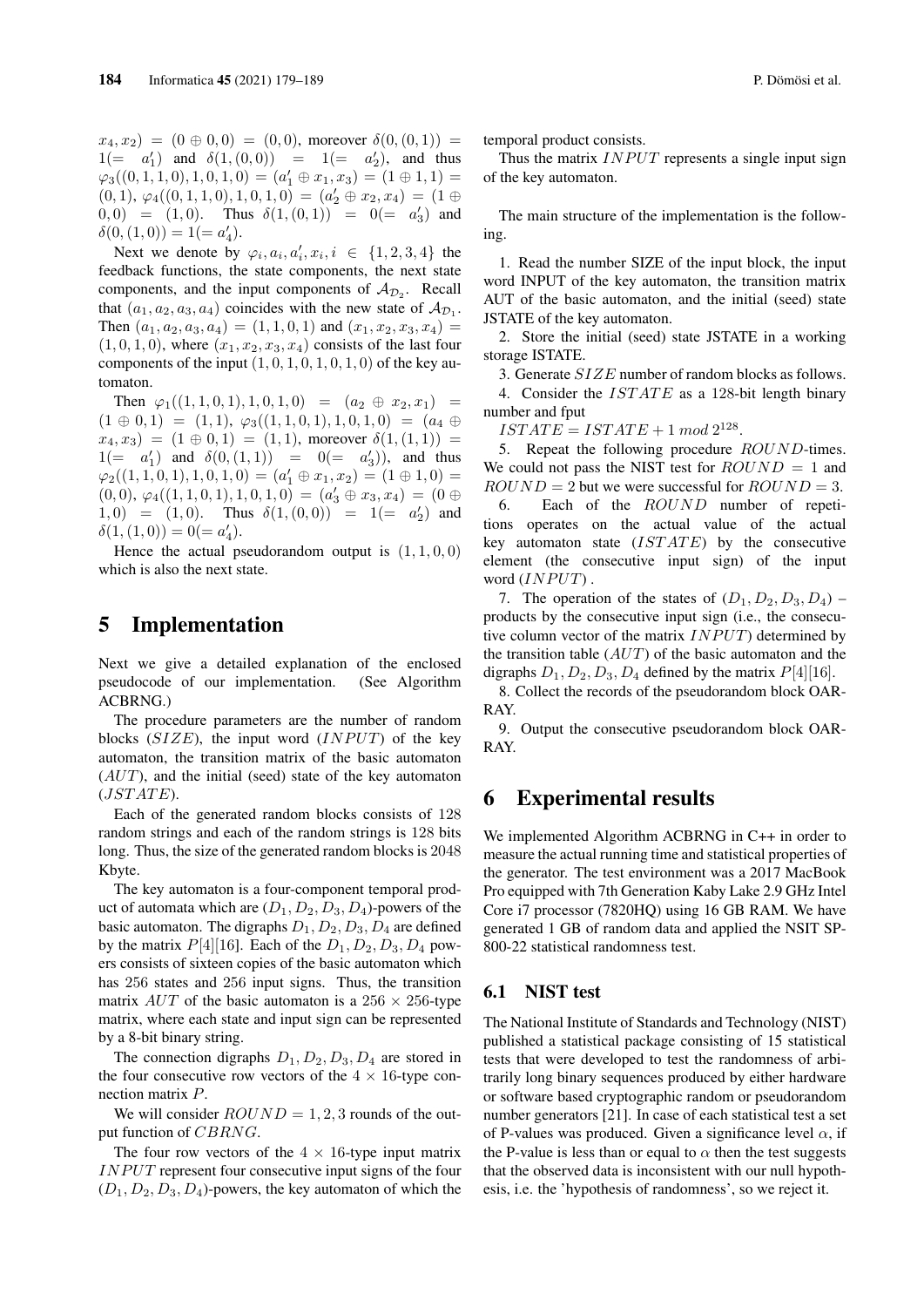$x_4, x_2$  =  $(0 \oplus 0, 0)$  =  $(0, 0)$ , moreover  $\delta(0, (0, 1))$  =  $1(= a'_1)$  and  $\delta(1, (0, 0)) = 1(= a'_2)$ , and thus  $\varphi_3((0,1,1,0),1,0,1,0) = (a'_1 \oplus x_1, x_3) = (1 \oplus 1,1) =$  $(0,1), \varphi_4((0,1,1,0),1,0,1,0) = (a'_2 \oplus x_2, x_4) = (1 \oplus$  $(0,0) = (1,0)$ . Thus  $\delta(1,(0,1)) = 0 (= a'_3)$  and  $\delta(0, (1, 0)) = 1 (= a'_4).$ 

Next we denote by  $\varphi_i, a_i, a'_i, x_i, i \in \{1, 2, 3, 4\}$  the feedback functions, the state components, the next state components, and the input components of  $A_{\mathcal{D}_2}$ . Recall that  $(a_1, a_2, a_3, a_4)$  coincides with the new state of  $\mathcal{A}_{\mathcal{D}_1}$ . Then  $(a_1, a_2, a_3, a_4) = (1, 1, 0, 1)$  and  $(x_1, x_2, x_3, x_4) =$  $(1, 0, 1, 0)$ , where  $(x_1, x_2, x_3, x_4)$  consists of the last four components of the input  $(1, 0, 1, 0, 1, 0, 1, 0)$  of the key automaton.

Then  $\varphi_1((1, 1, 0, 1), 1, 0, 1, 0) = (a_2 \oplus x_2, x_1) =$  $(1 \oplus 0, 1) = (1, 1), \varphi_3((1, 1, 0, 1), 1, 0, 1, 0) = (a_4 \oplus a_5)$  $x_4, x_3$  =  $(1 \oplus 0, 1)$  =  $(1, 1)$ , moreover  $\delta(1, (1, 1))$  =  $1(= a'_1)$  and  $\delta(0, (1, 1)) = 0(= a'_3)$ , and thus  $\varphi_2((1,1,0,1),1,0,1,0) = (a'_1 \oplus x_1, x_2) = (1 \oplus 1,0) =$  $(0,0), \varphi_4((1,1,0,1),1,0,1,0) = (a'_3 \oplus x_3, x_4) = (0 \oplus$ 1, 0) =  $(1, 0)$ . Thus  $\delta(1, (0, 0)) = 1 (= \alpha'_2)$  and  $\delta(1,(1,0)) = 0(= a'_4).$ 

Hence the actual pseudorandom output is  $(1, 1, 0, 0)$ which is also the next state.

#### 5 Implementation

Next we give a detailed explanation of the enclosed pseudocode of our implementation. (See Algorithm ACBRNG.)

The procedure parameters are the number of random blocks  $(SIZE)$ , the input word  $(INPUT)$  of the key automaton, the transition matrix of the basic automaton  $(AUT)$ , and the initial (seed) state of the key automaton  $(JSTATE).$ 

Each of the generated random blocks consists of 128 random strings and each of the random strings is 128 bits long. Thus, the size of the generated random blocks is 2048 Kbyte.

The key automaton is a four-component temporal product of automata which are  $(D_1, D_2, D_3, D_4)$ -powers of the basic automaton. The digraphs  $D_1, D_2, D_3, D_4$  are defined by the matrix  $P[4][16]$ . Each of the  $D_1, D_2, D_3, D_4$  powers consists of sixteen copies of the basic automaton which has 256 states and 256 input signs. Thus, the transition matrix  $AUT$  of the basic automaton is a 256  $\times$  256-type matrix, where each state and input sign can be represented by a 8-bit binary string.

The connection digraphs  $D_1, D_2, D_3, D_4$  are stored in the four consecutive row vectors of the  $4 \times 16$ -type connection matrix P.

We will consider  $ROUND = 1, 2, 3$  rounds of the output function of CBRNG.

The four row vectors of the  $4 \times 16$ -type input matrix  $INPUT$  represent four consecutive input signs of the four  $(D_1, D_2, D_3, D_4)$ -powers, the key automaton of which the temporal product consists.

Thus the matrix  $INPUT$  represents a single input sign of the key automaton.

The main structure of the implementation is the following.

1. Read the number SIZE of the input block, the input word INPUT of the key automaton, the transition matrix AUT of the basic automaton, and the initial (seed) state JSTATE of the key automaton.

2. Store the initial (seed) state JSTATE in a working storage ISTATE.

3. Generate SIZE number of random blocks as follows.

4. Consider the  $ISTATE$  as a 128-bit length binary number and fput

 $ISTATE = ISTATE + 1 \mod 2^{128}.$ 

5. Repeat the following procedure ROUND-times. We could not pass the NIST test for  $ROUND = 1$  and  $ROUND = 2$  but we were successful for  $ROUND = 3$ .

6. Each of the ROUND number of repetitions operates on the actual value of the actual key automaton state  $(ISTATE)$  by the consecutive element (the consecutive input sign) of the input word  $(INPUT)$ .

7. The operation of the states of  $(D_1, D_2, D_3, D_4)$  – products by the consecutive input sign (i.e., the consecutive column vector of the matrix  $INPUT$ ) determined by the transition table  $(AUT)$  of the basic automaton and the digraphs  $D_1, D_2, D_3, D_4$  defined by the matrix  $P[4][16]$ .

8. Collect the records of the pseudorandom block OAR-RAY.

9. Output the consecutive pseudorandom block OAR-RAY.

#### 6 Experimental results

We implemented Algorithm ACBRNG in C++ in order to measure the actual running time and statistical properties of the generator. The test environment was a 2017 MacBook Pro equipped with 7th Generation Kaby Lake 2.9 GHz Intel Core i7 processor (7820HQ) using 16 GB RAM. We have generated 1 GB of random data and applied the NSIT SP-800-22 statistical randomness test.

#### 6.1 NIST test

The National Institute of Standards and Technology (NIST) published a statistical package consisting of 15 statistical tests that were developed to test the randomness of arbitrarily long binary sequences produced by either hardware or software based cryptographic random or pseudorandom number generators [21]. In case of each statistical test a set of P-values was produced. Given a significance level  $\alpha$ , if the P-value is less than or equal to  $\alpha$  then the test suggests that the observed data is inconsistent with our null hypothesis, i.e. the 'hypothesis of randomness', so we reject it.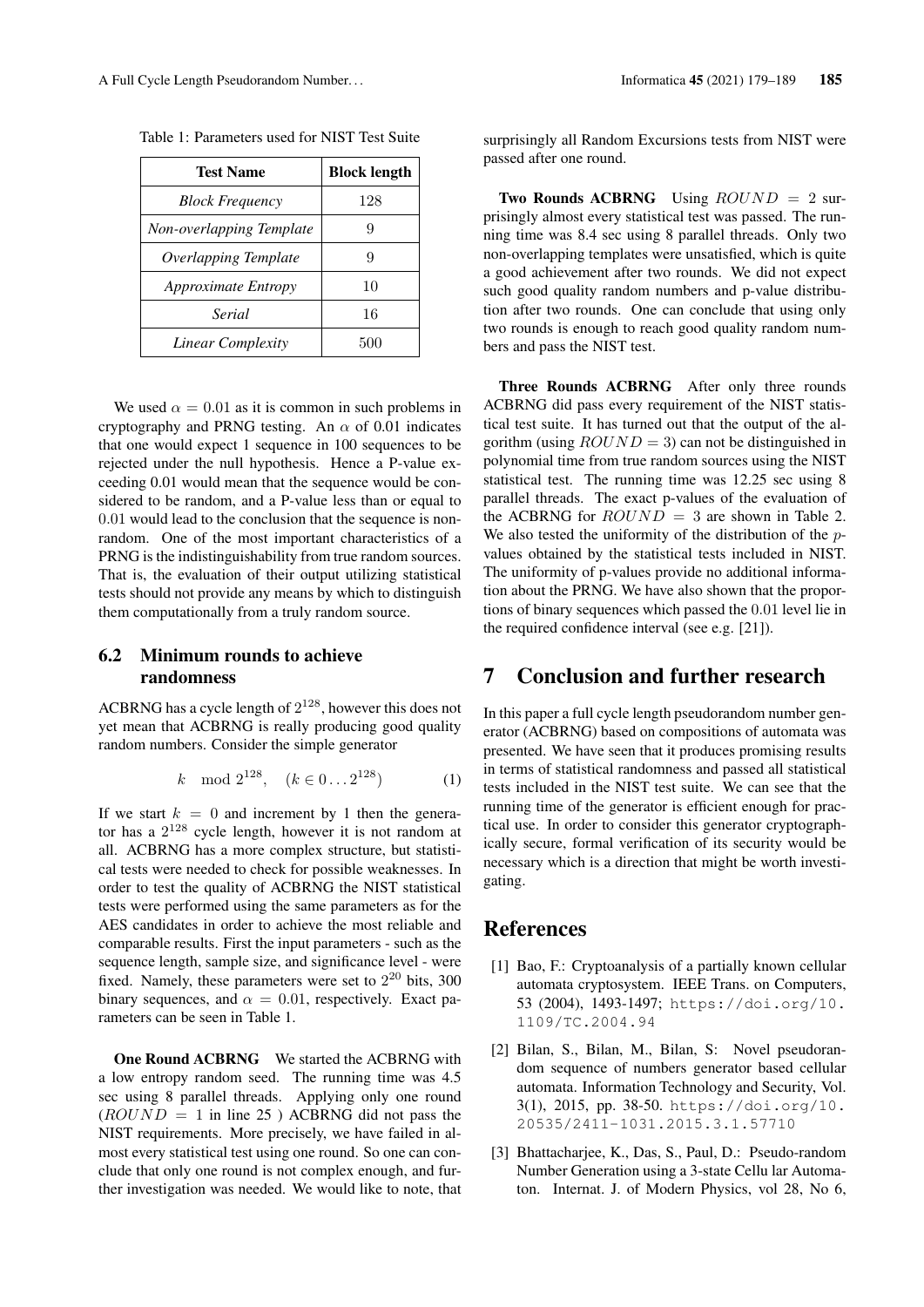| <b>Test Name</b>            | <b>Block length</b> |
|-----------------------------|---------------------|
| <b>Block Frequency</b>      | 128                 |
| Non-overlapping Template    |                     |
| <b>Overlapping Template</b> | 9                   |
| <i>Approximate Entropy</i>  | 10                  |
| Serial                      | 16                  |
| Linear Complexity           | 500                 |

Table 1: Parameters used for NIST Test Suite

We used  $\alpha = 0.01$  as it is common in such problems in cryptography and PRNG testing. An  $\alpha$  of 0.01 indicates that one would expect 1 sequence in 100 sequences to be rejected under the null hypothesis. Hence a P-value exceeding 0.01 would mean that the sequence would be considered to be random, and a P-value less than or equal to 0.01 would lead to the conclusion that the sequence is nonrandom. One of the most important characteristics of a PRNG is the indistinguishability from true random sources. That is, the evaluation of their output utilizing statistical tests should not provide any means by which to distinguish them computationally from a truly random source.

#### 6.2 Minimum rounds to achieve randomness

ACBRNG has a cycle length of  $2^{128}$ , however this does not yet mean that ACBRNG is really producing good quality random numbers. Consider the simple generator

$$
k \mod 2^{128}, \quad (k \in 0 \dots 2^{128}) \tag{1}
$$

If we start  $k = 0$  and increment by 1 then the generator has a  $2^{128}$  cycle length, however it is not random at all. ACBRNG has a more complex structure, but statistical tests were needed to check for possible weaknesses. In order to test the quality of ACBRNG the NIST statistical tests were performed using the same parameters as for the AES candidates in order to achieve the most reliable and comparable results. First the input parameters - such as the sequence length, sample size, and significance level - were fixed. Namely, these parameters were set to  $2^{20}$  bits, 300 binary sequences, and  $\alpha = 0.01$ , respectively. Exact parameters can be seen in Table 1.

One Round ACBRNG We started the ACBRNG with a low entropy random seed. The running time was 4.5 sec using 8 parallel threads. Applying only one round  $(ROUND = 1$  in line 25) ACBRNG did not pass the NIST requirements. More precisely, we have failed in almost every statistical test using one round. So one can conclude that only one round is not complex enough, and further investigation was needed. We would like to note, that surprisingly all Random Excursions tests from NIST were passed after one round.

**Two Rounds ACBRNG** Using  $ROUND = 2$  surprisingly almost every statistical test was passed. The running time was 8.4 sec using 8 parallel threads. Only two non-overlapping templates were unsatisfied, which is quite a good achievement after two rounds. We did not expect such good quality random numbers and p-value distribution after two rounds. One can conclude that using only two rounds is enough to reach good quality random numbers and pass the NIST test.

Three Rounds ACBRNG After only three rounds ACBRNG did pass every requirement of the NIST statistical test suite. It has turned out that the output of the algorithm (using  $ROUND = 3$ ) can not be distinguished in polynomial time from true random sources using the NIST statistical test. The running time was 12.25 sec using 8 parallel threads. The exact p-values of the evaluation of the ACBRNG for  $ROUND = 3$  are shown in Table 2. We also tested the uniformity of the distribution of the pvalues obtained by the statistical tests included in NIST. The uniformity of p-values provide no additional information about the PRNG. We have also shown that the proportions of binary sequences which passed the 0.01 level lie in the required confidence interval (see e.g. [21]).

## 7 Conclusion and further research

In this paper a full cycle length pseudorandom number generator (ACBRNG) based on compositions of automata was presented. We have seen that it produces promising results in terms of statistical randomness and passed all statistical tests included in the NIST test suite. We can see that the running time of the generator is efficient enough for practical use. In order to consider this generator cryptographically secure, formal verification of its security would be necessary which is a direction that might be worth investigating.

#### References

- [1] Bao, F.: Cryptoanalysis of a partially known cellular automata cryptosystem. IEEE Trans. on Computers, 53 (2004), 1493-1497; https://doi.org/10. 1109/TC.2004.94
- [2] Bilan, S., Bilan, M., Bilan, S: Novel pseudorandom sequence of numbers generator based cellular automata. Information Technology and Security, Vol. 3(1), 2015, pp. 38-50. https://doi.org/10. 20535/2411-1031.2015.3.1.57710
- [3] Bhattacharjee, K., Das, S., Paul, D.: Pseudo-random Number Generation using a 3-state Cellu lar Automaton. Internat. J. of Modern Physics, vol 28, No 6,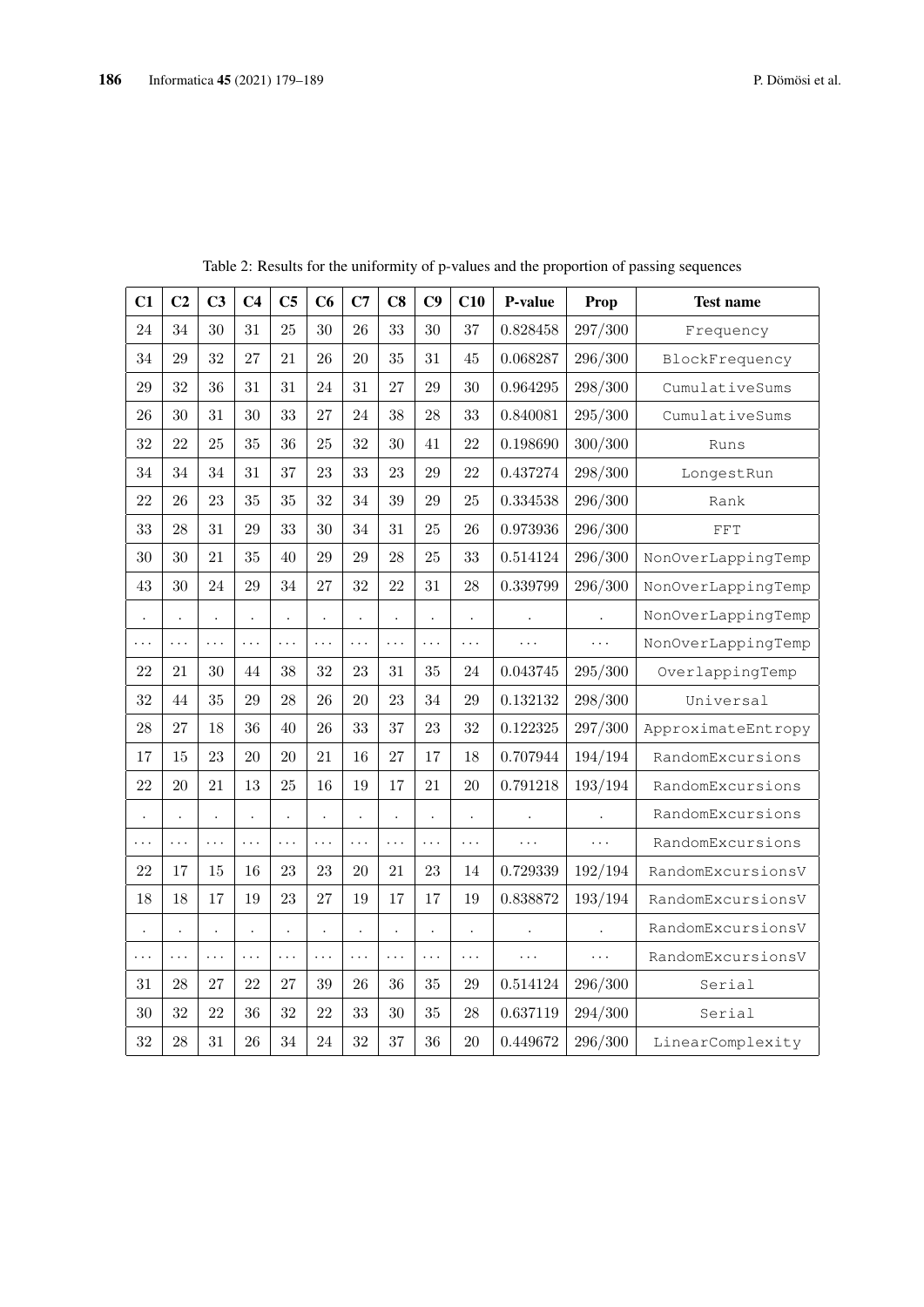| C <sub>1</sub>       | C <sub>2</sub>       | C <sub>3</sub>       | C <sub>4</sub>       | C <sub>5</sub>       | C6                   | C7                   | C8                   | C9                   | C10                  | P-value              | Prop                 | <b>Test name</b>   |
|----------------------|----------------------|----------------------|----------------------|----------------------|----------------------|----------------------|----------------------|----------------------|----------------------|----------------------|----------------------|--------------------|
| 24                   | 34                   | 30                   | 31                   | 25                   | 30                   | 26                   | 33                   | 30                   | 37                   | 0.828458             | 297/300              | Frequency          |
| 34                   | 29                   | 32                   | 27                   | 21                   | 26                   | 20                   | 35                   | 31                   | 45                   | 0.068287             | $296/300\,$          | BlockFrequency     |
| 29                   | 32                   | 36                   | 31                   | 31                   | 24                   | 31                   | 27                   | 29                   | 30                   | 0.964295             | 298/300              | CumulativeSums     |
| 26                   | 30                   | 31                   | 30                   | 33                   | 27                   | 24                   | 38                   | 28                   | 33                   | $\!\!0.840081$       | 295/300              | CumulativeSums     |
| 32                   | 22                   | 25                   | 35                   | 36                   | 25                   | 32                   | 30                   | 41                   | 22                   | 0.198690             | 300/300              | Runs               |
| 34                   | 34                   | 34                   | 31                   | 37                   | 23                   | 33                   | 23                   | 29                   | 22                   | 0.437274             | 298/300              | LongestRun         |
| 22                   | 26                   | 23                   | 35                   | 35                   | 32                   | 34                   | 39                   | 29                   | 25                   | 0.334538             | $296/300\,$          | Rank               |
| 33                   | 28                   | 31                   | 29                   | 33                   | 30                   | 34                   | 31                   | 25                   | 26                   | 0.973936             | 296/300              | FFT                |
| 30                   | 30                   | 21                   | 35                   | 40                   | 29                   | 29                   | 28                   | 25                   | 33                   | 0.514124             | 296/300              | NonOverLappingTemp |
| 43                   | 30                   | 24                   | 29                   | 34                   | 27                   | 32                   | 22                   | 31                   | 28                   | 0.339799             | 296/300              | NonOverLappingTemp |
| $\ddot{\phantom{0}}$ | $\cdot$              |                      |                      |                      | $\ddot{\phantom{0}}$ | $\ddot{\phantom{0}}$ | $\ddot{\phantom{0}}$ | $\ddot{\phantom{0}}$ | $\ddot{\phantom{0}}$ | $\ddot{\phantom{0}}$ | $\ddot{\phantom{0}}$ | NonOverLappingTemp |
| $\cdots$             | $\cdots$             | $\cdots$             | $\cdots$             | $\cdots$             | .                    | .                    | $\cdots$             | $\cdots$             | $\cdots$             | $\cdots$             | .                    | NonOverLappingTemp |
| 22                   | 21                   | 30                   | 44                   | 38                   | 32                   | 23                   | 31                   | 35                   | 24                   | 0.043745             | 295/300              | OverlappingTemp    |
| 32                   | 44                   | 35                   | 29                   | 28                   | 26                   | 20                   | 23                   | 34                   | 29                   | 0.132132             | 298/300              | Universal          |
| 28                   | $27\,$               | 18                   | 36                   | 40                   | 26                   | 33                   | 37                   | 23                   | 32                   | 0.122325             | 297/300              | ApproximateEntropy |
| 17                   | 15                   | 23                   | 20                   | 20                   | 21                   | 16                   | 27                   | 17                   | 18                   | 0.707944             | 194/194              | RandomExcursions   |
| 22                   | 20                   | 21                   | 13                   | 25                   | 16                   | 19                   | 17                   | 21                   | 20                   | 0.791218             | 193/194              | RandomExcursions   |
| $\ddot{\phantom{0}}$ | $\ddot{\phantom{0}}$ | $\ddot{\phantom{0}}$ |                      | $\ddot{\phantom{0}}$ | $\ddot{\phantom{0}}$ | $\ddot{\phantom{0}}$ | $\ddot{\phantom{0}}$ | $\ddot{\phantom{0}}$ | $\ddot{\phantom{0}}$ | $\ddot{\phantom{0}}$ | $\ddot{\phantom{0}}$ | RandomExcursions   |
| .                    | .                    | $\cdots$             | $\cdots$             | .                    | .                    | $\cdots$             | $\cdots$             | $\cdots$             | $\cdots$             | $\cdots$             | .                    | RandomExcursions   |
| 22                   | 17                   | 15                   | 16                   | 23                   | 23                   | 20                   | 21                   | 23                   | 14                   | 0.729339             | 192/194              | RandomExcursionsV  |
| 18                   | 18                   | 17                   | 19                   | 23                   | 27                   | 19                   | 17                   | 17                   | 19                   | 0.838872             | 193/194              | RandomExcursionsV  |
| $\bullet$            | $\ddot{\phantom{0}}$ | $\ddot{\phantom{0}}$ | $\ddot{\phantom{0}}$ | $\ddot{\phantom{0}}$ | $\ddot{\phantom{0}}$ | $\ddot{\phantom{0}}$ | $\ddot{\phantom{0}}$ | $\ddot{\phantom{0}}$ | $\ddot{\phantom{0}}$ |                      |                      | RandomExcursionsV  |
| .                    | $\cdots$             | $\cdots$             | .                    | $\cdots$             | .                    | $\cdots$             | .                    | $\cdots$             | $\cdots$             | $\cdots$             | .                    | RandomExcursionsV  |
| 31                   | $28\,$               | 27                   | 22                   | 27                   | $39\,$               | 26                   | 36                   | 35                   | 29                   | 0.514124             | 296/300              | Serial             |
| 30                   | 32                   | 22                   | 36                   | 32                   | 22                   | 33                   | 30                   | 35                   | 28                   | 0.637119             | 294/300              | Serial             |
| 32                   | 28                   | 31                   | 26                   | 34                   | 24                   | 32                   | 37                   | 36                   | 20                   | 0.449672             | 296/300              | LinearComplexity   |

Table 2: Results for the uniformity of p-values and the proportion of passing sequences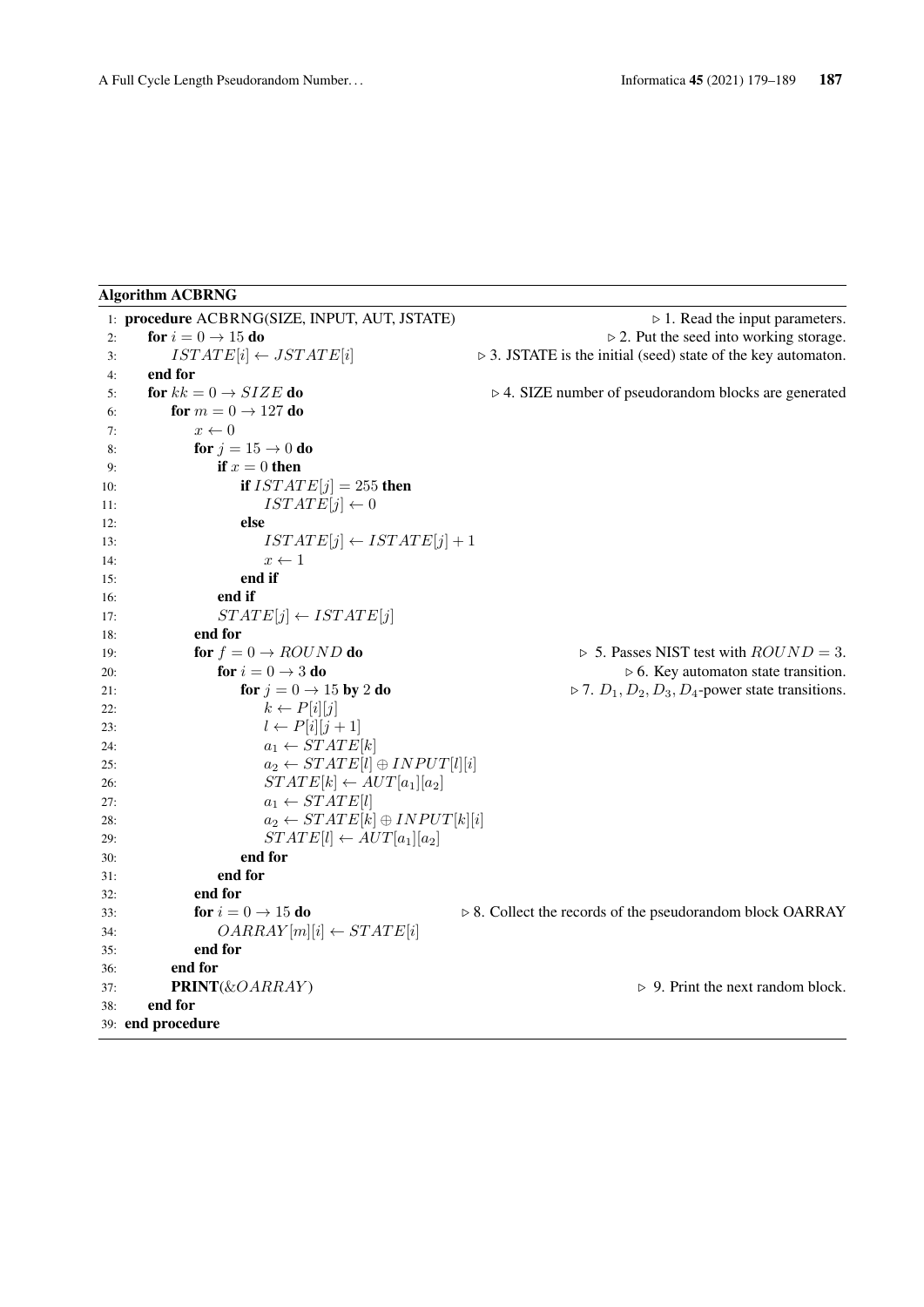#### Algorithm ACBRNG

```
1: procedure ACBRNG(SIZE, INPUT, AUT, JSTATE) \triangleright 1. Read the input parameters.
2: for i = 0 \rightarrow 15 do \triangleright 2. Put the seed into working storage.
3: ISTATE[i] \leftarrow JSTATE[i] \triangleright 3. JSTATE is the initial (seed) state of the key automaton.
4: end for
5: for kk = 0 \rightarrow SIZE do \triangleright 4. SIZE number of pseudorandom blocks are generated
6: for m = 0 \rightarrow 127 do
7: x \leftarrow 08: for j = 15 \rightarrow 0 do
9: if x = 0 then
10: if ISTATE[j] = 255 then
11: ISTATE[j] \leftarrow 012: else
13: ISTATE[j] \leftarrow ISTATE[j] + 114: x \leftarrow 115: end if
16: end if
17: STATE[j] \leftarrow \text{ISTATE}[j]18: end for
19: for f = 0 \rightarrow ROUND do \triangleright 5. Passes NIST test with ROUND = 3.
20: for i = 0 \rightarrow 3 do . 6. Key automaton state transition.
21: for j = 0 \rightarrow 15 by 2 do \triangleright 7. D_1, D_2, D_3, D_4-power state transitions.
22: k \leftarrow P[i][j]23: l \leftarrow P[i][j+1]24: a_1 \leftarrow STATE[k]25: a_2 \leftarrow STATE[l] \oplus INPUT[l][i]26: STATE[k] \leftarrow AUT[a_1][a_2]27: a_1 \leftarrow STATE[l]28: a_2 \leftarrow STATE[k] \oplus INPUT[k][i]29: STATE[l] \leftarrow AUT[a_1][a_2]30: end for
31: end for
32: end for<br>33: for i = 0 \rightarrow 15 do
33: for i = 0 \rightarrow 15 do \rightarrow 8. Collect the records of the pseudorandom block OARRAY
34: OARRAY[m][i] \leftarrow STATE[i]35: end for
36: end for
37: PRINT(\&OARRAY) \rightarrow 9. Print the next random block.
38: end for
39: end procedure
```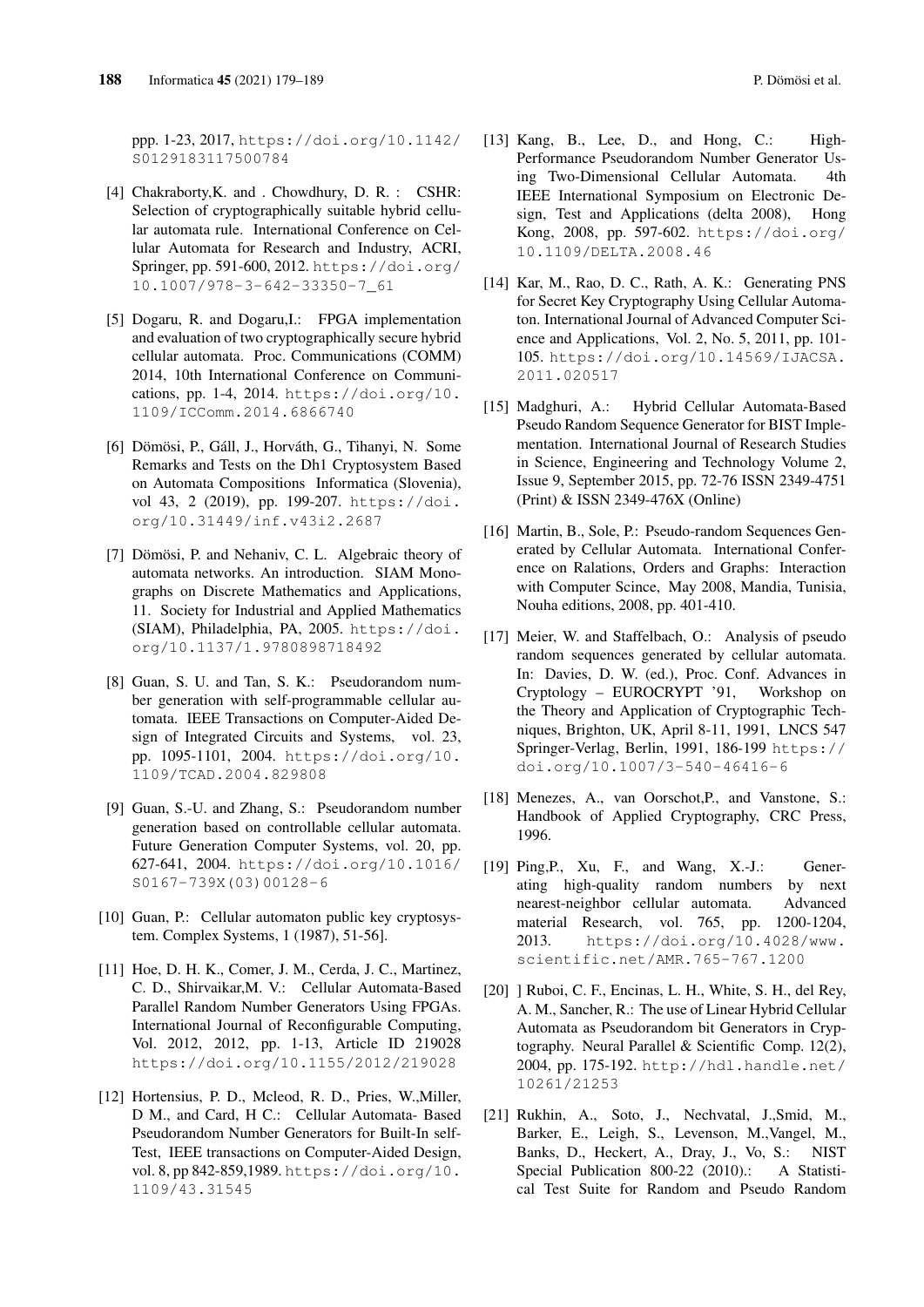ppp. 1-23, 2017, https://doi.org/10.1142/ S0129183117500784

- [4] Chakraborty,K. and . Chowdhury, D. R. : CSHR: Selection of cryptographically suitable hybrid cellular automata rule. International Conference on Cellular Automata for Research and Industry, ACRI, Springer, pp. 591-600, 2012. https://doi.org/ 10.1007/978-3-642-33350-7\_61
- [5] Dogaru, R. and Dogaru,I.: FPGA implementation and evaluation of two cryptographically secure hybrid cellular automata. Proc. Communications (COMM) 2014, 10th International Conference on Communications, pp. 1-4, 2014. https://doi.org/10. 1109/ICComm.2014.6866740
- [6] Dömösi, P., Gáll, J., Horváth, G., Tihanyi, N. Some Remarks and Tests on the Dh1 Cryptosystem Based on Automata Compositions Informatica (Slovenia), vol 43, 2 (2019), pp. 199-207. https://doi. org/10.31449/inf.v43i2.2687
- [7] Dömösi, P. and Nehaniv, C. L. Algebraic theory of automata networks. An introduction. SIAM Monographs on Discrete Mathematics and Applications, 11. Society for Industrial and Applied Mathematics (SIAM), Philadelphia, PA, 2005. https://doi. org/10.1137/1.9780898718492
- [8] Guan, S. U. and Tan, S. K.: Pseudorandom number generation with self-programmable cellular automata. IEEE Transactions on Computer-Aided Design of Integrated Circuits and Systems, vol. 23, pp. 1095-1101, 2004. https://doi.org/10. 1109/TCAD.2004.829808
- [9] Guan, S.-U. and Zhang, S.: Pseudorandom number generation based on controllable cellular automata. Future Generation Computer Systems, vol. 20, pp. 627-641, 2004. https://doi.org/10.1016/ S0167-739X(03)00128-6
- [10] Guan, P.: Cellular automaton public key cryptosystem. Complex Systems, 1 (1987), 51-56].
- [11] Hoe, D. H. K., Comer, J. M., Cerda, J. C., Martinez, C. D., Shirvaikar,M. V.: Cellular Automata-Based Parallel Random Number Generators Using FPGAs. International Journal of Reconfigurable Computing, Vol. 2012, 2012, pp. 1-13, Article ID 219028 https://doi.org/10.1155/2012/219028
- [12] Hortensius, P. D., Mcleod, R. D., Pries, W., Miller, D M., and Card, H C.: Cellular Automata- Based Pseudorandom Number Generators for Built-In self-Test, IEEE transactions on Computer-Aided Design, vol. 8, pp 842-859,1989. https://doi.org/10. 1109/43.31545
- [13] Kang, B., Lee, D., and Hong, C.: High-Performance Pseudorandom Number Generator Using Two-Dimensional Cellular Automata. 4th IEEE International Symposium on Electronic Design, Test and Applications (delta 2008), Hong Kong, 2008, pp. 597-602. https://doi.org/ 10.1109/DELTA.2008.46
- [14] Kar, M., Rao, D. C., Rath, A. K.: Generating PNS for Secret Key Cryptography Using Cellular Automaton. International Journal of Advanced Computer Science and Applications, Vol. 2, No. 5, 2011, pp. 101- 105. https://doi.org/10.14569/IJACSA. 2011.020517
- [15] Madghuri, A.: Hybrid Cellular Automata-Based Pseudo Random Sequence Generator for BIST Implementation. International Journal of Research Studies in Science, Engineering and Technology Volume 2, Issue 9, September 2015, pp. 72-76 ISSN 2349-4751 (Print) & ISSN 2349-476X (Online)
- [16] Martin, B., Sole, P.: Pseudo-random Sequences Generated by Cellular Automata. International Conference on Ralations, Orders and Graphs: Interaction with Computer Scince, May 2008, Mandia, Tunisia, Nouha editions, 2008, pp. 401-410.
- [17] Meier, W. and Staffelbach, O.: Analysis of pseudo random sequences generated by cellular automata. In: Davies, D. W. (ed.), Proc. Conf. Advances in Cryptology – EUROCRYPT '91, Workshop on the Theory and Application of Cryptographic Techniques, Brighton, UK, April 8-11, 1991, LNCS 547 Springer-Verlag, Berlin, 1991, 186-199 https:// doi.org/10.1007/3-540-46416-6
- [18] Menezes, A., van Oorschot,P., and Vanstone, S.: Handbook of Applied Cryptography, CRC Press, 1996.
- [19] Ping,P., Xu, F., and Wang, X.-J.: Generating high-quality random numbers by next nearest-neighbor cellular automata. Advanced material Research, vol. 765, pp. 1200-1204, 2013. https://doi.org/10.4028/www. scientific.net/AMR.765-767.1200
- [20] ] Ruboi, C. F., Encinas, L. H., White, S. H., del Rey, A. M., Sancher, R.: The use of Linear Hybrid Cellular Automata as Pseudorandom bit Generators in Cryptography. Neural Parallel & Scientific Comp. 12(2), 2004, pp. 175-192. http://hdl.handle.net/ 10261/21253
- [21] Rukhin, A., Soto, J., Nechvatal, J.,Smid, M., Barker, E., Leigh, S., Levenson, M.,Vangel, M., Banks, D., Heckert, A., Dray, J., Vo, S.: NIST Special Publication 800-22 (2010).: A Statistical Test Suite for Random and Pseudo Random